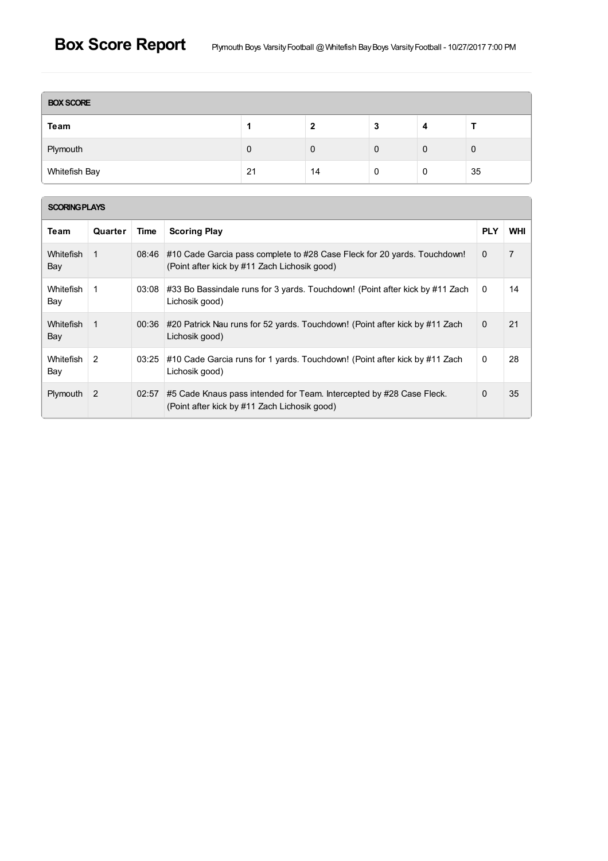| <b>BOX SCORE</b> |    |    |   |   |             |  |  |
|------------------|----|----|---|---|-------------|--|--|
| Team             |    |    | 3 | 4 |             |  |  |
| Plymouth         | 0  | 0  | 0 | 0 | $\mathbf 0$ |  |  |
| Whitefish Bay    | 21 | 14 | 0 | 0 | 35          |  |  |

| <b>SCORING PLAYS</b>    |         |       |                                                                                                                          |              |                |  |  |  |  |  |
|-------------------------|---------|-------|--------------------------------------------------------------------------------------------------------------------------|--------------|----------------|--|--|--|--|--|
| Team                    | Quarter | Time  | <b>Scoring Play</b>                                                                                                      | <b>PLY</b>   | <b>WHI</b>     |  |  |  |  |  |
| <b>Whitefish</b><br>Bay | 1       | 08:46 | #10 Cade Garcia pass complete to #28 Case Fleck for 20 yards. Touchdown!<br>(Point after kick by #11 Zach Lichosik good) | $\Omega$     | $\overline{7}$ |  |  |  |  |  |
| Whitefish<br>Bay        | 1       | 03:08 | #33 Bo Bassindale runs for 3 yards. Touchdown! (Point after kick by #11 Zach<br>Lichosik good)                           | $\mathbf{0}$ | 14             |  |  |  |  |  |
| <b>Whitefish</b><br>Bay | 1       | 00:36 | #20 Patrick Nau runs for 52 yards. Touchdown! (Point after kick by #11 Zach<br>Lichosik good)                            | $\mathbf{0}$ | 21             |  |  |  |  |  |
| Whitefish<br>Bay        | 2       | 03:25 | #10 Cade Garcia runs for 1 yards. Touchdown! (Point after kick by #11 Zach<br>Lichosik good)                             | $\mathbf{0}$ | 28             |  |  |  |  |  |
| Plymouth                | 2       | 02:57 | #5 Cade Knaus pass intended for Team. Intercepted by #28 Case Fleck.<br>(Point after kick by #11 Zach Lichosik good)     | 0            | 35             |  |  |  |  |  |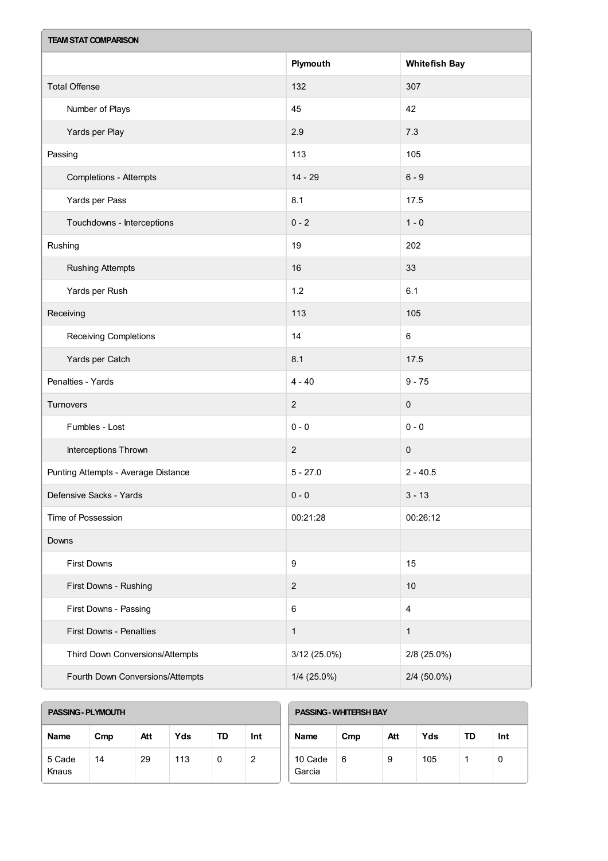| <b>TEAM STAT COMPARISON</b>         |                  |                         |  |  |  |  |  |
|-------------------------------------|------------------|-------------------------|--|--|--|--|--|
|                                     | Plymouth         | <b>Whitefish Bay</b>    |  |  |  |  |  |
| <b>Total Offense</b>                | 132              | 307                     |  |  |  |  |  |
| Number of Plays                     | 45               | 42                      |  |  |  |  |  |
| Yards per Play                      | 2.9              | 7.3                     |  |  |  |  |  |
| Passing                             | 113              | 105                     |  |  |  |  |  |
| <b>Completions - Attempts</b>       | $14 - 29$        | $6 - 9$                 |  |  |  |  |  |
| Yards per Pass                      | 8.1              | 17.5                    |  |  |  |  |  |
| Touchdowns - Interceptions          | $0 - 2$          | $1 - 0$                 |  |  |  |  |  |
| Rushing                             | 19               | 202                     |  |  |  |  |  |
| <b>Rushing Attempts</b>             | 16               | 33                      |  |  |  |  |  |
| Yards per Rush                      | 1.2              | 6.1                     |  |  |  |  |  |
| Receiving                           | 113              | 105                     |  |  |  |  |  |
| Receiving Completions               | 14               | 6                       |  |  |  |  |  |
| Yards per Catch                     | 8.1              | 17.5                    |  |  |  |  |  |
| Penalties - Yards                   | $4 - 40$         | $9 - 75$                |  |  |  |  |  |
| Turnovers                           | $\sqrt{2}$       | $\mathbf 0$             |  |  |  |  |  |
| Fumbles - Lost                      | $0 - 0$          | $0 - 0$                 |  |  |  |  |  |
| Interceptions Thrown                | $\sqrt{2}$       | $\pmb{0}$               |  |  |  |  |  |
| Punting Attempts - Average Distance | $5 - 27.0$       | $2 - 40.5$              |  |  |  |  |  |
| Defensive Sacks - Yards             | $0 - 0$          | $3 - 13$                |  |  |  |  |  |
| Time of Possession                  | 00:21:28         | 00:26:12                |  |  |  |  |  |
| Downs                               |                  |                         |  |  |  |  |  |
| First Downs                         | $\boldsymbol{9}$ | 15                      |  |  |  |  |  |
| First Downs - Rushing               | $\boldsymbol{2}$ | $10$                    |  |  |  |  |  |
| First Downs - Passing               | $\,6\,$          | $\overline{\mathbf{4}}$ |  |  |  |  |  |
| First Downs - Penalties             | $\mathbf{1}$     | $\mathbf{1}$            |  |  |  |  |  |
| Third Down Conversions/Attempts     | 3/12 (25.0%)     | 2/8 (25.0%)             |  |  |  |  |  |
| Fourth Down Conversions/Attempts    | $1/4$ (25.0%)    | 2/4 (50.0%)             |  |  |  |  |  |

| <b>PASSING - PLYMOUTH</b> |     |     |     |           |     | <b>PASSING - WHITERSH BAY</b> |     |     |     |    |     |
|---------------------------|-----|-----|-----|-----------|-----|-------------------------------|-----|-----|-----|----|-----|
| <b>Name</b>               | Cmp | Att | Yds | <b>TD</b> | Int | Name                          | Cmp | Att | Yds | TD | Int |
| 5 Cade<br>Knaus           | 14  | 29  | 113 | 0         | 2   | 10 Cade<br>Garcia             | 6   | 9   | 105 |    | 0   |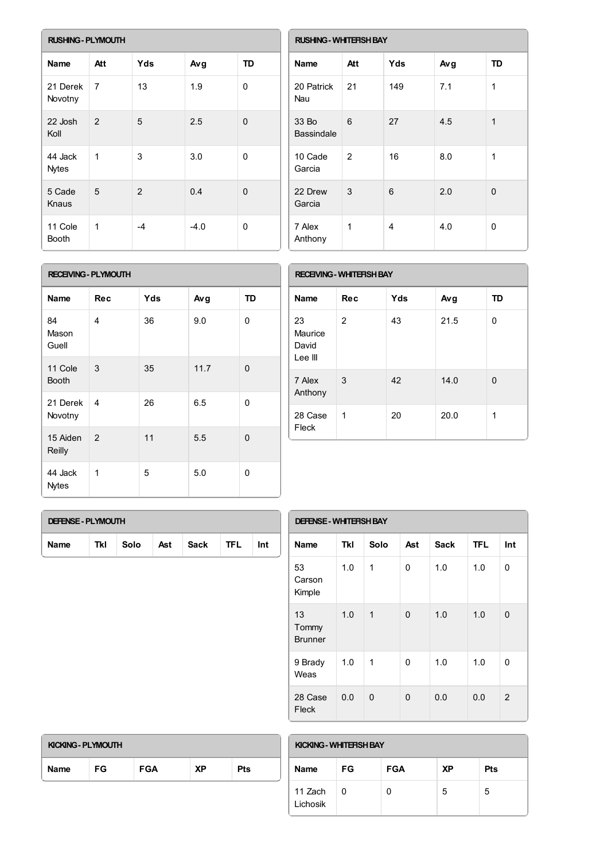| <b>RUSHING - PLYMOUTH</b> |                |                |        |              |  |  |  |  |
|---------------------------|----------------|----------------|--------|--------------|--|--|--|--|
| <b>Name</b>               | Att            | <b>Yds</b>     | Avg    | <b>TD</b>    |  |  |  |  |
| 21 Derek<br>Novotny       | $\overline{7}$ | 13             | 1.9    | $\mathbf{0}$ |  |  |  |  |
| 22 Josh<br>Koll           | $\mathcal{P}$  | 5              | 2.5    | 0            |  |  |  |  |
| 44 Jack<br><b>Nytes</b>   | 1              | 3              | 3.0    | 0            |  |  |  |  |
| 5 Cade<br>Knaus           | 5              | $\overline{2}$ | 0.4    | 0            |  |  |  |  |
| 11 Cole<br><b>Booth</b>   | 1              | -4             | $-4.0$ | 0            |  |  |  |  |

| <b>RUSHING - WHITEFISH BAY</b> |                |            |     |    |  |  |  |  |
|--------------------------------|----------------|------------|-----|----|--|--|--|--|
| <b>Name</b>                    | Att            | <b>Yds</b> | Avg | TD |  |  |  |  |
| 20 Patrick<br>Nau              | 21             | 149        | 7.1 | 1  |  |  |  |  |
| 33 Bo<br><b>Bassindale</b>     | 6              | 27         | 4.5 | 1  |  |  |  |  |
| 10 Cade<br>Garcia              | $\overline{2}$ | 16         | 8.0 | 1  |  |  |  |  |
| 22 Drew<br>Garcia              | 3              | 6          | 2.0 | 0  |  |  |  |  |
| 7 Alex<br>Anthony              | 1              | 4          | 4.0 | 0  |  |  |  |  |

#### **RECEIVING- PLYMOUTH**

| Name                    | Rec | Yds | Avg  | <b>TD</b>    |
|-------------------------|-----|-----|------|--------------|
| 84<br>Mason<br>Guell    | 4   | 36  | 9.0  | $\mathbf{0}$ |
| 11 Cole<br><b>Booth</b> | 3   | 35  | 11.7 | $\Omega$     |
| 21 Derek<br>Novotny     | 4   | 26  | 6.5  | 0            |
| 15 Aiden<br>Reilly      | 2   | 11  | 5.5  | $\Omega$     |
| 44 Jack<br><b>Nytes</b> | 1   | 5   | 5.0  | $\mathbf{0}$ |

| <b>RECEIVING - WHITERSH BAY</b>   |            |     |      |    |  |  |  |  |
|-----------------------------------|------------|-----|------|----|--|--|--|--|
| <b>Name</b>                       | <b>Rec</b> | Yds | Avg  | TD |  |  |  |  |
| 23<br>Maurice<br>David<br>Lee III | 2          | 43  | 21.5 | 0  |  |  |  |  |
| 7 Alex<br>Anthony                 | 3          | 42  | 14.0 | 0  |  |  |  |  |
| 28 Case<br>Fleck                  | 1          | 20  | 20.0 | 1  |  |  |  |  |
|                                   |            |     |      |    |  |  |  |  |

| <b>DEFENSE - PLYMOUTH</b> |     |      |     |      |            |     |  |
|---------------------------|-----|------|-----|------|------------|-----|--|
| <b>Name</b>               | Tkl | Solo | Ast | Sack | <b>TFL</b> | Int |  |

| <b>DEFENSE - WHITERSH BAY</b> |            |              |     |             |            |              |  |  |
|-------------------------------|------------|--------------|-----|-------------|------------|--------------|--|--|
| Name                          | <b>Tkl</b> | Solo         | Ast | <b>Sack</b> | <b>TFL</b> | Int          |  |  |
| 53<br>Carson<br>Kimple        | 1.0        | 1            | 0   | 1.0         | 1.0        | 0            |  |  |
| 13<br>Tommy<br><b>Brunner</b> | 1.0        | $\mathbf{1}$ | 0   | 1.0         | 1.0        | $\mathbf{0}$ |  |  |
| 9 Brady<br>Weas               | 1.0        | 1            | 0   | 1.0         | 1.0        | 0            |  |  |
| 28 Case<br>Fleck              | 0.0        | 0            | 0   | 0.0         | 0.0        | 2            |  |  |

| KICKING - PLYMOUTH |     |            |    |            |  |  |  |
|--------------------|-----|------------|----|------------|--|--|--|
| <b>Name</b>        | FG. | <b>FGA</b> | ΧP | <b>Pts</b> |  |  |  |

# **KICKING- WHITEFISHBAY**

| <b>Name</b>         | <b>FG</b> | <b>FGA</b> | <b>XP</b> | <b>Pts</b> |
|---------------------|-----------|------------|-----------|------------|
| 11 Zach<br>Lichosik | U         | 0          | 5         | 5          |